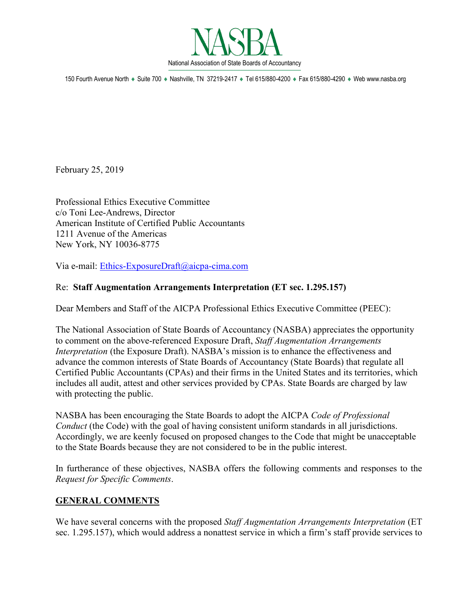

150 Fourth Avenue North ♦ Suite 700 ♦ Nashville, TN 37219-2417 ♦ Tel 615/880-4200 ♦ Fax 615/880-4290 ♦ Web www.nasba.org

February 25, 2019

Professional Ethics Executive Committee c/o Toni Lee-Andrews, Director American Institute of Certified Public Accountants 1211 Avenue of the Americas New York, NY 10036-8775

Via e-mail: [Ethics-ExposureDraft@aicpa-cima.com](mailto:Ethics-ExposureDraft@aicpa-cima.com)

# Re: **Staff Augmentation Arrangements Interpretation (ET sec. 1.295.157)**

Dear Members and Staff of the AICPA Professional Ethics Executive Committee (PEEC):

The National Association of State Boards of Accountancy (NASBA) appreciates the opportunity to comment on the above-referenced Exposure Draft, *Staff Augmentation Arrangements Interpretation* (the Exposure Draft). NASBA's mission is to enhance the effectiveness and advance the common interests of State Boards of Accountancy (State Boards) that regulate all Certified Public Accountants (CPAs) and their firms in the United States and its territories, which includes all audit, attest and other services provided by CPAs. State Boards are charged by law with protecting the public.

NASBA has been encouraging the State Boards to adopt the AICPA *Code of Professional Conduct* (the Code) with the goal of having consistent uniform standards in all jurisdictions. Accordingly, we are keenly focused on proposed changes to the Code that might be unacceptable to the State Boards because they are not considered to be in the public interest.

In furtherance of these objectives, NASBA offers the following comments and responses to the *Request for Specific Comments*.

# **GENERAL COMMENTS**

We have several concerns with the proposed *Staff Augmentation Arrangements Interpretation* (ET sec. 1.295.157), which would address a nonattest service in which a firm's staff provide services to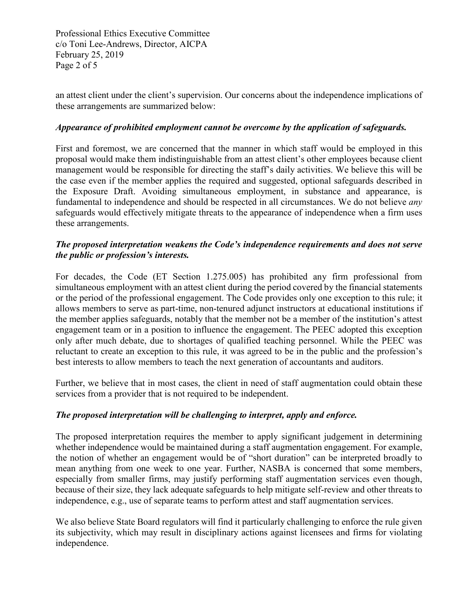Professional Ethics Executive Committee c/o Toni Lee-Andrews, Director, AICPA February 25, 2019 Page 2 of 5

an attest client under the client's supervision. Our concerns about the independence implications of these arrangements are summarized below:

## *Appearance of prohibited employment cannot be overcome by the application of safeguards.*

First and foremost, we are concerned that the manner in which staff would be employed in this proposal would make them indistinguishable from an attest client's other employees because client management would be responsible for directing the staff's daily activities. We believe this will be the case even if the member applies the required and suggested, optional safeguards described in the Exposure Draft. Avoiding simultaneous employment, in substance and appearance, is fundamental to independence and should be respected in all circumstances. We do not believe *any* safeguards would effectively mitigate threats to the appearance of independence when a firm uses these arrangements.

## *The proposed interpretation weakens the Code's independence requirements and does not serve the public or profession's interests.*

For decades, the Code (ET Section 1.275.005) has prohibited any firm professional from simultaneous employment with an attest client during the period covered by the financial statements or the period of the professional engagement. The Code provides only one exception to this rule; it allows members to serve as part-time, non-tenured adjunct instructors at educational institutions if the member applies safeguards, notably that the member not be a member of the institution's attest engagement team or in a position to influence the engagement. The PEEC adopted this exception only after much debate, due to shortages of qualified teaching personnel. While the PEEC was reluctant to create an exception to this rule, it was agreed to be in the public and the profession's best interests to allow members to teach the next generation of accountants and auditors.

Further, we believe that in most cases, the client in need of staff augmentation could obtain these services from a provider that is not required to be independent.

## *The proposed interpretation will be challenging to interpret, apply and enforce.*

The proposed interpretation requires the member to apply significant judgement in determining whether independence would be maintained during a staff augmentation engagement. For example, the notion of whether an engagement would be of "short duration" can be interpreted broadly to mean anything from one week to one year. Further, NASBA is concerned that some members, especially from smaller firms, may justify performing staff augmentation services even though, because of their size, they lack adequate safeguards to help mitigate self-review and other threats to independence, e.g., use of separate teams to perform attest and staff augmentation services.

We also believe State Board regulators will find it particularly challenging to enforce the rule given its subjectivity, which may result in disciplinary actions against licensees and firms for violating independence.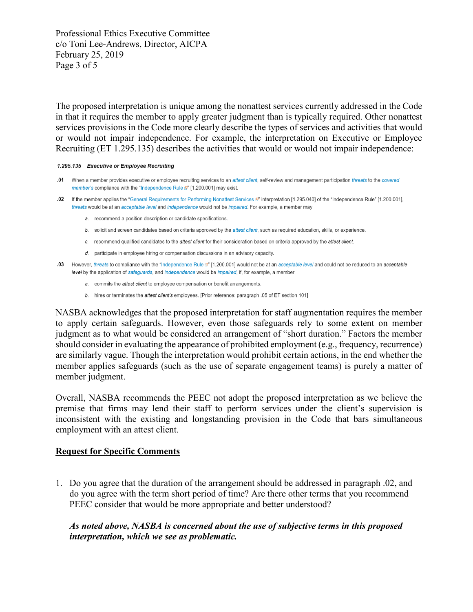Professional Ethics Executive Committee c/o Toni Lee-Andrews, Director, AICPA February 25, 2019 Page 3 of 5

The proposed interpretation is unique among the nonattest services currently addressed in the Code in that it requires the member to apply greater judgment than is typically required. Other nonattest services provisions in the Code more clearly describe the types of services and activities that would or would not impair independence. For example, the interpretation on Executive or Employee Recruiting (ET 1.295.135) describes the activities that would or would not impair independence:

#### 1.295.135 Executive or Employee Recruiting

- .01 When a member provides executive or employee recruiting services to an attest client, self-review and management participation threats to the covered member's compliance with the "Independence Rule [9" [1.200.001] may exist.
- .02 If the member applies the "General Requirements for Performing Nonattest Services [5]" interpretation [1.295.040] of the "Independence Rule" [1.200.001], threats would be at an acceptable level and independence would not be impaired. For example, a member may
	- a. recommend a position description or candidate specifications.
	- b. solicit and screen candidates based on criteria approved by the attest client, such as required education, skills, or experience.
	- c. recommend qualified candidates to the attest client for their consideration based on criteria approved by the attest client.
	- d. participate in employee hiring or compensation discussions in an advisory capacity.
- .03 However, threats to compliance with the "Independence Rule (1.200.001] would not be at an acceptable level and could not be reduced to an acceptable level by the application of safeguards, and independence would be impaired, if, for example, a member
	- a. commits the attest client to employee compensation or benefit arrangements.
	- b. hires or terminates the attest client's employees. [Prior reference: paragraph .05 of ET section 101]

NASBA acknowledges that the proposed interpretation for staff augmentation requires the member to apply certain safeguards. However, even those safeguards rely to some extent on member judgment as to what would be considered an arrangement of "short duration." Factors the member should consider in evaluating the appearance of prohibited employment (e.g., frequency, recurrence) are similarly vague. Though the interpretation would prohibit certain actions, in the end whether the member applies safeguards (such as the use of separate engagement teams) is purely a matter of member judgment.

Overall, NASBA recommends the PEEC not adopt the proposed interpretation as we believe the premise that firms may lend their staff to perform services under the client's supervision is inconsistent with the existing and longstanding provision in the Code that bars simultaneous employment with an attest client.

### **Request for Specific Comments**

1. Do you agree that the duration of the arrangement should be addressed in paragraph .02, and do you agree with the term short period of time? Are there other terms that you recommend PEEC consider that would be more appropriate and better understood?

## *As noted above, NASBA is concerned about the use of subjective terms in this proposed interpretation, which we see as problematic.*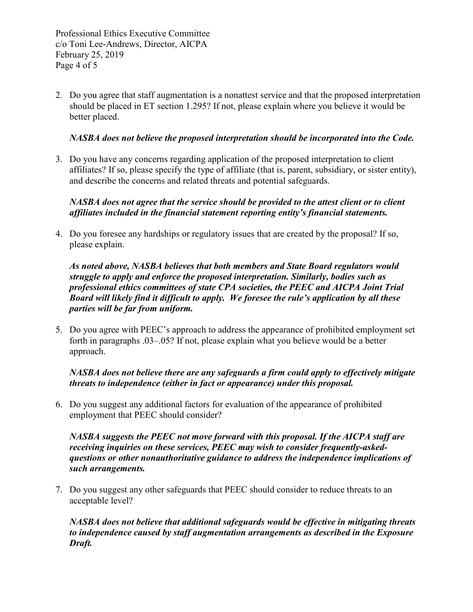Professional Ethics Executive Committee c/o Toni Lee-Andrews, Director, AICPA February 25, 2019 Page 4 of 5

2. Do you agree that staff augmentation is a nonattest service and that the proposed interpretation should be placed in ET section 1.295? If not, please explain where you believe it would be better placed.

## *NASBA does not believe the proposed interpretation should be incorporated into the Code.*

3. Do you have any concerns regarding application of the proposed interpretation to client affiliates? If so, please specify the type of affiliate (that is, parent, subsidiary, or sister entity), and describe the concerns and related threats and potential safeguards.

## *NASBA does not agree that the service should be provided to the attest client or to client affiliates included in the financial statement reporting entity's financial statements.*

4. Do you foresee any hardships or regulatory issues that are created by the proposal? If so, please explain.

*As noted above, NASBA believes that both members and State Board regulators would struggle to apply and enforce the proposed interpretation. Similarly, bodies such as professional ethics committees of state CPA societies, the PEEC and AICPA Joint Trial Board will likely find it difficult to apply. We foresee the rule's application by all these parties will be far from uniform.* 

5. Do you agree with PEEC's approach to address the appearance of prohibited employment set forth in paragraphs .03–.05? If not, please explain what you believe would be a better approach.

# *NASBA does not believe there are any safeguards a firm could apply to effectively mitigate threats to independence (either in fact or appearance) under this proposal.*

6. Do you suggest any additional factors for evaluation of the appearance of prohibited employment that PEEC should consider?

*NASBA suggests the PEEC not move forward with this proposal. If the AICPA staff are receiving inquiries on these services, PEEC may wish to consider frequently-askedquestions or other nonauthoritative guidance to address the independence implications of such arrangements.* 

7. Do you suggest any other safeguards that PEEC should consider to reduce threats to an acceptable level?

*NASBA does not believe that additional safeguards would be effective in mitigating threats to independence caused by staff augmentation arrangements as described in the Exposure Draft.*